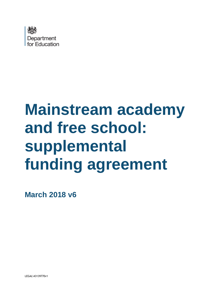

# **Mainstream academy and free school: supplemental funding agreement**

**March 2018 v6**

LEGAL\43139770v1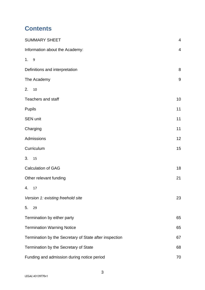# **Contents**

| <b>SUMMARY SHEET</b>                                   | $\overline{\mathbf{4}}$ |
|--------------------------------------------------------|-------------------------|
| Information about the Academy:                         | $\overline{4}$          |
| 1.9                                                    |                         |
| Definitions and interpretation                         | $\,8\,$                 |
| The Academy                                            | $\boldsymbol{9}$        |
| 2.<br>10                                               |                         |
| <b>Teachers and staff</b>                              | 10                      |
| <b>Pupils</b>                                          | 11                      |
| <b>SEN unit</b>                                        | 11                      |
| Charging                                               | 11                      |
| Admissions                                             | 12                      |
| Curriculum                                             | 15                      |
| 3. 15                                                  |                         |
| <b>Calculation of GAG</b>                              | 18                      |
| Other relevant funding                                 | 21                      |
| 4.<br>17                                               |                         |
| Version 1: existing freehold site                      | 23                      |
| 5.<br>29                                               |                         |
| Termination by either party                            | 65                      |
| <b>Termination Warning Notice</b>                      | 65                      |
| Termination by the Secretary of State after inspection | 67                      |
| Termination by the Secretary of State                  | 68                      |
| Funding and admission during notice period             | 70                      |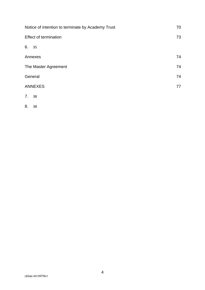| Notice of intention to terminate by Academy Trust | 70 |
|---------------------------------------------------|----|
| <b>Effect of termination</b>                      | 73 |
| 6. 35                                             |    |
| Annexes                                           | 74 |
| The Master Agreement                              | 74 |
| General                                           | 74 |
| <b>ANNEXES</b>                                    | 77 |
| 7.<br>38                                          |    |
|                                                   |    |

[8.](#page-37-2) 38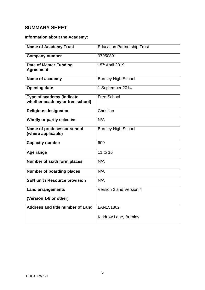# <span id="page-4-0"></span>**SUMMARY SHEET**

# <span id="page-4-1"></span>**Information about the Academy:**

| <b>Name of Academy Trust</b>                                 | <b>Education Partnership Trust</b> |
|--------------------------------------------------------------|------------------------------------|
| <b>Company number</b>                                        | 07950891                           |
| <b>Date of Master Funding</b><br><b>Agreement</b>            | 15th April 2019                    |
| Name of academy                                              | <b>Burnley High School</b>         |
| <b>Opening date</b>                                          | 1 September 2014                   |
| Type of academy (indicate<br>whether academy or free school) | <b>Free School</b>                 |
| <b>Religious designation</b>                                 | Christian                          |
| Wholly or partly selective                                   | N/A                                |
| Name of predecessor school<br>(where applicable)             | <b>Burnley High School</b>         |
| <b>Capacity number</b>                                       | 600                                |
| Age range                                                    | 11 to 16                           |
| Number of sixth form places                                  | N/A                                |
| <b>Number of boarding places</b>                             | N/A                                |
| <b>SEN unit / Resource provision</b>                         | N/A                                |
| <b>Land arrangements</b>                                     | Version 2 and Version 4            |
| (Version 1-8 or other)                                       |                                    |
| Address and title number of Land                             | LAN151802                          |
|                                                              | Kiddrow Lane, Burnley              |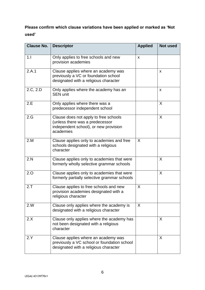# **Please confirm which clause variations have been applied or marked as 'Not used'**

| <b>Clause No.</b> | <b>Descriptor</b>                                                                                                              | <b>Applied</b> | <b>Not used</b> |
|-------------------|--------------------------------------------------------------------------------------------------------------------------------|----------------|-----------------|
| 1.1               | Only applies to free schools and new<br>provision academies                                                                    | X              |                 |
| 2.A.1             | Clause applies where an academy was<br>previously a VC or foundation school<br>designated with a religious character           |                | X               |
| 2.C, 2.D          | Only applies where the academy has an<br><b>SEN unit</b>                                                                       |                | $\mathsf{x}$    |
| 2.E               | Only applies where there was a<br>predecessor independent school                                                               |                | X               |
| 2.G               | Clause does not apply to free schools<br>(unless there was a predecessor<br>independent school), or new provision<br>academies |                | X               |
| 2.M               | Clause applies only to academies and free<br>schools designated with a religious<br>character                                  | X              |                 |
| 2.N               | Clause applies only to academies that were<br>formerly wholly selective grammar schools                                        |                | X               |
| 2.0               | Clause applies only to academies that were<br>formerly partially selective grammar schools                                     |                | X               |
| 2.7               | Clause applies to free schools and new<br>provision academies designated with a<br>religious character                         | X              |                 |
| 2.W               | Clause only applies where the academy is<br>designated with a religious character                                              | X              |                 |
| 2.X               | Clause only applies where the academy has<br>not been designated with a religious<br>character                                 |                | X               |
| 2.Y               | Clause applies where an academy was<br>previously a VC school or foundation school<br>designated with a religious character    |                | X               |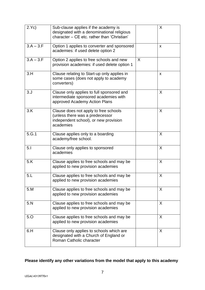| 2.Yc)       | Sub-clause applies if the academy is<br>designated with a denominational religious<br>character - CE etc. rather than 'Christian' |   | X  |
|-------------|-----------------------------------------------------------------------------------------------------------------------------------|---|----|
| $3.A - 3.F$ | Option 1 applies to converter and sponsored<br>academies: if used delete option 2                                                 |   | X  |
| $3.A - 3.F$ | Option 2 applies to free schools and new<br>provision academies: if used delete option 1                                          | X |    |
| 3.H         | Clause relating to Start-up only applies in<br>some cases (does not apply to academy<br>converters)                               |   | X  |
| 3. J        | Clause only applies to full sponsored and<br>intermediate sponsored academies with<br>approved Academy Action Plans               |   | X  |
| 3.K         | Clause does not apply to free schools<br>(unless there was a predecessor<br>independent school), or new provision<br>academies    |   | X  |
| 5.G.1       | Clause applies only to a boarding<br>academy/free school.                                                                         |   | X  |
| 5.1         | Clause only applies to sponsored<br>academies                                                                                     |   | X  |
| 5.K         | Clause applies to free schools and may be<br>applied to new provision academies                                                   |   | X  |
| 5.L         | Clause applies to free schools and may be<br>applied to new provision academies                                                   |   | X  |
| 5.M         | Clause applies to free schools and may be<br>applied to new provision academies                                                   |   | X  |
| 5.N         | Clause applies to free schools and may be<br>applied to new provision academies                                                   |   | X  |
| 5.0         | Clause applies to free schools and may be<br>applied to new provision academies                                                   |   | X. |
| 6.H         | Clause only applies to schools which are<br>designated with a Church of England or<br>Roman Catholic character                    |   | X  |

# **Please identify any other variations from the model that apply to this academy**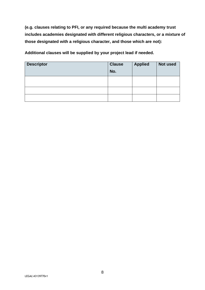**(e.g. clauses relating to PFI, or any required because the multi academy trust includes academies designated with different religious characters, or a mixture of those designated with a religious character, and those which are not):**

**Additional clauses will be supplied by your project lead if needed.**

| <b>Descriptor</b> | <b>Clause</b><br>No. | <b>Applied</b> | Not used |
|-------------------|----------------------|----------------|----------|
|                   |                      |                |          |
|                   |                      |                |          |
|                   |                      |                |          |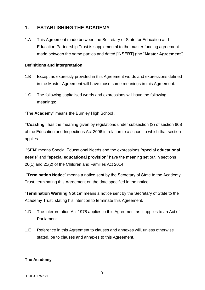# <span id="page-8-0"></span>**1. ESTABLISHING THE ACADEMY**

1.A This Agreement made between the Secretary of State for Education and Education Partnership Trust is supplemental to the master funding agreement made between the same parties and dated [INSERT] (the "**Master Agreement**").

#### <span id="page-8-1"></span>**Definitions and interpretation**

- 1.B Except as expressly provided in this Agreement words and expressions defined in the Master Agreement will have those same meanings in this Agreement.
- 1.C The following capitalised words and expressions will have the following meanings:

"The **Academy**" means the Burnley High School .

**"Coasting"** has the meaning given by regulations under subsection (3) of section 60B of the Education and Inspections Act 2006 in relation to a school to which that section applies.

"**SEN**" means Special Educational Needs and the expressions "**special educational needs**" and "**special educational provision**" have the meaning set out in sections 20(1) and 21(2) of the Children and Families Act 2014.

"**Termination Notice**" means a notice sent by the Secretary of State to the Academy Trust, terminating this Agreement on the date specified in the notice.

"**Termination Warning Notice**" means a notice sent by the Secretary of State to the Academy Trust, stating his intention to terminate this Agreement.

- 1.D The Interpretation Act 1978 applies to this Agreement as it applies to an Act of Parliament.
- 1.E Reference in this Agreement to clauses and annexes will, unless otherwise stated, be to clauses and annexes to this Agreement.

#### <span id="page-8-2"></span>**The Academy**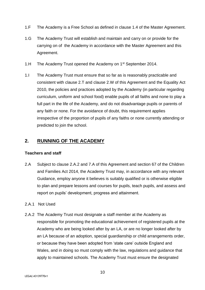- 1.F The Academy is a Free School as defined in clause 1.4 of the Master Agreement.
- 1.G The Academy Trust will establish and maintain and carry on or provide for the carrying on of the Academy in accordance with the Master Agreement and this Agreement.
- 1.H The Academy Trust opened the Academy on 1<sup>st</sup> September 2014.
- 1.I The Academy Trust must ensure that so far as is reasonably practicable and consistent with clause 2.T and clause 2.W of this Agreement and the Equality Act 2010, the policies and practices adopted by the Academy (in particular regarding curriculum, uniform and school food) enable pupils of all faiths and none to play a full part in the life of the Academy, and do not disadvantage pupils or parents of any faith or none. For the avoidance of doubt, this requirement applies irrespective of the proportion of pupils of any faiths or none currently attending or predicted to join the school.

#### <span id="page-9-0"></span>**2. RUNNING OF THE ACADEMY**

#### <span id="page-9-1"></span>**Teachers and staff**

- 2.A Subject to clause 2.A.2 and 7.A of this Agreement and section 67 of the Children and Families Act 2014, the Academy Trust may, in accordance with any relevant Guidance, employ anyone it believes is suitably qualified or is otherwise eligible to plan and prepare lessons and courses for pupils, teach pupils, and assess and report on pupils' development, progress and attainment.
- 2.A.1 Not Used
- 2.A.2 The Academy Trust must designate a staff member at the Academy as responsible for promoting the educational achievement of registered pupils at the Academy who are being looked after by an LA, or are no longer looked after by an LA because of an adoption, special guardianship or child arrangements order, or because they have been adopted from 'state care' outside England and Wales, and in doing so must comply with the law, regulations and guidance that apply to maintained schools. The Academy Trust must ensure the designated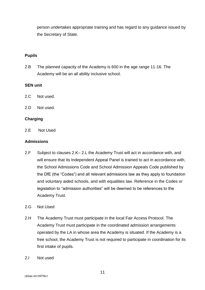person undertakes appropriate training and has regard to any guidance issued by the Secretary of State.

#### <span id="page-10-0"></span>**Pupils**

2.B The planned capacity of the Academy is 600 in the age range 11-16. The Academy will be an all ability inclusive school.

#### <span id="page-10-1"></span>**SEN unit**

- 2.C Not used.
- 2.D Not used.

#### <span id="page-10-2"></span>**Charging**

2.E Not Used

#### <span id="page-10-3"></span>**Admissions**

- 2.F Subject to clauses 2.K– 2.L the Academy Trust will act in accordance with, and will ensure that its Independent Appeal Panel is trained to act in accordance with, the School Admissions Code and School Admission Appeals Code published by the DfE (the "Codes") and all relevant admissions law as they apply to foundation and voluntary aided schools, and with equalities law. Reference in the Codes or legislation to "admission authorities" will be deemed to be references to the Academy Trust.
- 2.G Not Used
- 2.H The Academy Trust must participate in the local Fair Access Protocol. The Academy Trust must participate in the coordinated admission arrangements operated by the LA in whose area the Academy is situated. If the Academy is a free school, the Academy Trust is not required to participate in coordination for its first intake of pupils.
- 2.I Not used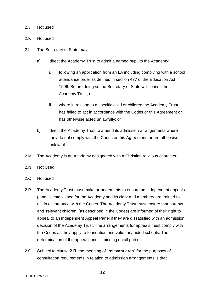#### 2.J Not used

- 2.K Not used
- 2.L The Secretary of State may:
	- a) direct the Academy Trust to admit a named pupil to the Academy:
		- i. following an application from an LA including complying with a school attendance order as defined in section 437 of the Education Act 1996. Before doing so the Secretary of State will consult the Academy Trust; or
		- ii. where in relation to a specific child or children the Academy Trust has failed to act in accordance with the Codes or this Agreement or has otherwise acted unlawfully; or
	- b) direct the Academy Trust to amend its admission arrangements where they do not comply with the Codes or this Agreement, or are otherwise unlawful.
- 2.M The Academy is an Academy designated with a Christian religious character.
- 2.N Not Used
- 2.O Not used
- 2.P The Academy Trust must make arrangements to ensure an independent appeals panel is established for the Academy and its clerk and members are trained to act in accordance with the Codes. The Academy Trust must ensure that parents and 'relevant children' (as described in the Codes) are informed of their right to appeal to an Independent Appeal Panel if they are dissatisfied with an admission decision of the Academy Trust. The arrangements for appeals must comply with the Codes as they apply to foundation and voluntary aided schools. The determination of the appeal panel is binding on all parties.
- 2.Q Subject to clause 2.R, the meaning of "**relevant area**" for the purposes of consultation requirements in relation to admission arrangements is that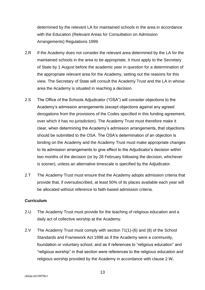determined by the relevant LA for maintained schools in the area in accordance with the Education (Relevant Areas for Consultation on Admission Arrangements) Regulations 1999.

- 2.R If the Academy does not consider the relevant area determined by the LA for the maintained schools in the area to be appropriate, it must apply to the Secretary of State by 1 August before the academic year in question for a determination of the appropriate relevant area for the Academy, setting out the reasons for this view. The Secretary of State will consult the Academy Trust and the LA in whose area the Academy is situated in reaching a decision.
- 2.S The Office of the Schools Adjudicator ("OSA") will consider objections to the Academy's admission arrangements (except objections against any agreed derogations from the provisions of the Codes specified in this funding agreement, over which it has no jurisdiction). The Academy Trust must therefore make it clear, when determining the Academy's admission arrangements, that objections should be submitted to the OSA. The OSA's determination of an objection is binding on the Academy and the Academy Trust must make appropriate changes to its admission arrangements to give effect to the Adjudicator's decision within two months of the decision (or by 28 February following the decision, whichever is sooner), unless an alternative timescale is specified by the Adjudicator.
- 2.T The Academy Trust must ensure that the Academy adopts admission criteria that provide that, if oversubscribed, at least 50% of its places available each year will be allocated without reference to faith-based admission criteria.

#### <span id="page-12-0"></span>**Curriculum**

- 2.U The Academy Trust must provide for the teaching of religious education and a daily act of collective worship at the Academy.
- 2.V The Academy Trust must comply with section 71(1)-(6) and (8) of the School Standards and Framework Act 1998 as if the Academy were a community, foundation or voluntary school, and as if references to "religious education" and "religious worship" in that section were references to the religious education and religious worship provided by the Academy in accordance with clause 2.W*.*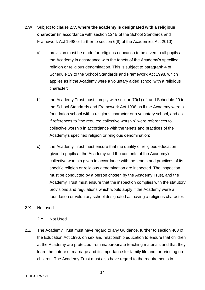- 2.W Subject to clause 2.V, **where the academy is designated with a religious character** (in accordance with section 124B of the School Standards and Framework Act 1998 or further to section 6(8) of the Academies Act 2010):
	- a) provision must be made for religious education to be given to all pupils at the Academy in accordance with the tenets of the Academy's specified religion or religious denomination. This is subject to paragraph 4 of Schedule 19 to the School Standards and Framework Act 1998, which applies as if the Academy were a voluntary aided school with a religious character;
	- b) the Academy Trust must comply with section 70(1) of, and Schedule 20 to, the School Standards and Framework Act 1998 as if the Academy were a foundation school with a religious character or a voluntary school, and as if references to "the required collective worship" were references to collective worship in accordance with the tenets and practices of the Academy's specified religion or religious denomination;
	- c) the Academy Trust must ensure that the quality of religious education given to pupils at the Academy and the contents of the Academy's collective worship given in accordance with the tenets and practices of its specific religion or religious denomination are inspected. The inspection must be conducted by a person chosen by the Academy Trust, and the Academy Trust must ensure that the inspection complies with the statutory provisions and regulations which would apply if the Academy were a foundation or voluntary school designated as having a religious character.
- 2.X Not used.
	- 2.Y Not Used
- 2.Z The Academy Trust must have regard to any Guidance, further to section 403 of the Education Act 1996, on sex and relationship education to ensure that children at the Academy are protected from inappropriate teaching materials and that they learn the nature of marriage and its importance for family life and for bringing up children. The Academy Trust must also have regard to the requirements in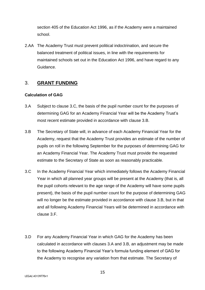section 405 of the Education Act 1996, as if the Academy were a maintained school.

2.AA The Academy Trust must prevent political indoctrination, and secure the balanced treatment of political issues, in line with the requirements for maintained schools set out in the Education Act 1996, and have regard to any Guidance.

# <span id="page-14-0"></span>3. **GRANT FUNDING**

#### <span id="page-14-1"></span>**Calculation of GAG**

- 3.A Subject to clause 3.C, the basis of the pupil number count for the purposes of determining GAG for an Academy Financial Year will be the Academy Trust's most recent estimate provided in accordance with clause 3.B.
- 3.B The Secretary of State will, in advance of each Academy Financial Year for the Academy, request that the Academy Trust provides an estimate of the number of pupils on roll in the following September for the purposes of determining GAG for an Academy Financial Year. The Academy Trust must provide the requested estimate to the Secretary of State as soon as reasonably practicable.
- 3.C In the Academy Financial Year which immediately follows the Academy Financial Year in which all planned year groups will be present at the Academy (that is, all the pupil cohorts relevant to the age range of the Academy will have some pupils present), the basis of the pupil number count for the purpose of determining GAG will no longer be the estimate provided in accordance with clause 3.B, but in that and all following Academy Financial Years will be determined in accordance with clause 3.F.
- 3.D For any Academy Financial Year in which GAG for the Academy has been calculated in accordance with clauses 3.A and 3.B, an adjustment may be made to the following Academy Financial Year's formula funding element of GAG for the Academy to recognise any variation from that estimate. The Secretary of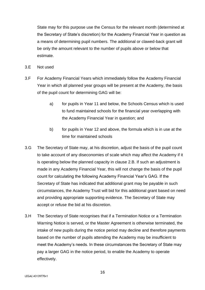State may for this purpose use the Census for the relevant month (determined at the Secretary of State's discretion) for the Academy Financial Year in question as a means of determining pupil numbers. The additional or clawed-back grant will be only the amount relevant to the number of pupils above or below that estimate.

- 3.E Not used
- 3.F For Academy Financial Years which immediately follow the Academy Financial Year in which all planned year groups will be present at the Academy, the basis of the pupil count for determining GAG will be:
	- a) for pupils in Year 11 and below, the Schools Census which is used to fund maintained schools for the financial year overlapping with the Academy Financial Year in question; and
	- b) for pupils in Year 12 and above, the formula which is in use at the time for maintained schools
- 3.G The Secretary of State may, at his discretion, adjust the basis of the pupil count to take account of any diseconomies of scale which may affect the Academy if it is operating below the planned capacity in clause 2.B. If such an adjustment is made in any Academy Financial Year, this will not change the basis of the pupil count for calculating the following Academy Financial Year's GAG. If the Secretary of State has indicated that additional grant may be payable in such circumstances, the Academy Trust will bid for this additional grant based on need and providing appropriate supporting evidence. The Secretary of State may accept or refuse the bid at his discretion.
- 3.H The Secretary of State recognises that if a Termination Notice or a Termination Warning Notice is served, or the Master Agreement is otherwise terminated, the intake of new pupils during the notice period may decline and therefore payments based on the number of pupils attending the Academy may be insufficient to meet the Academy's needs. In these circumstances the Secretary of State may pay a larger GAG in the notice period, to enable the Academy to operate effectively.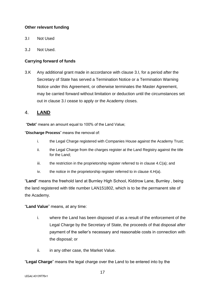#### <span id="page-16-0"></span>**Other relevant funding**

- 3.I Not Used
- 3.J Not Used.

#### **Carrying forward of funds**

3.K Any additional grant made in accordance with clause 3.I, for a period after the Secretary of State has served a Termination Notice or a Termination Warning Notice under this Agreement, or otherwise terminates the Master Agreement, may be carried forward without limitation or deduction until the circumstances set out in clause 3.I cease to apply or the Academy closes.

#### <span id="page-16-1"></span>4. **LAND**

<span id="page-16-2"></span>"**Debt**" means an amount equal to 100% of the Land Value;

"**Discharge Process**" means the removal of:

- i. the Legal Charge registered with Companies House against the Academy Trust;
- ii. the Legal Charge from the charges register at the Land Registry against the title for the Land;
- $iii.$  the restriction in the proprietorship register referred to in clause 4.C(a); and
- iv. the notice in the proprietorship register referred to in clause  $4.H(a)$ .

"**Land**" means the freehold land at Burnley High School, Kiddrow Lane, Burnley , being the land registered with title number LAN151802, which is to be the permanent site of the Academy.

"**Land Value**" means, at any time:

- i. where the Land has been disposed of as a result of the enforcement of the Legal Charge by the Secretary of State, the proceeds of that disposal after payment of the seller's necessary and reasonable costs in connection with the disposal; or
- ii. in any other case, the Market Value.

"**Legal Charge**" means the legal charge over the Land to be entered into by the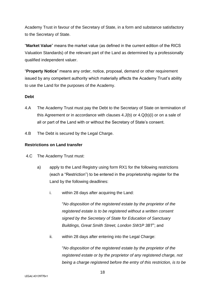Academy Trust in favour of the Secretary of State, in a form and substance satisfactory to the Secretary of State.

"**Market Value**" means the market value (as defined in the current edition of the RICS Valuation Standards) of the relevant part of the Land as determined by a professionally qualified independent valuer.

"**Property Notice**" means any order, notice, proposal, demand or other requirement issued by any competent authority which materially affects the Academy Trust's ability to use the Land for the purposes of the Academy.

#### **Debt**

- 4.A The Academy Trust must pay the Debt to the Secretary of State on termination of this Agreement or in accordance with clauses 4.J(b) or 4.Q(b)(i) or on a sale of all or part of the Land with or without the Secretary of State's consent.
- 4.B The Debt is secured by the Legal Charge.

#### **Restrictions on Land transfer**

- 4.C The Academy Trust must:
	- a) apply to the Land Registry using form RX1 for the following restrictions (each a "Restriction") to be entered in the proprietorship register for the Land by the following deadlines:
		- i. within 28 days after acquiring the Land:

"*No disposition of the registered estate by the proprietor of the registered estate is to be registered without a written consent signed by the Secretary of State for Education of Sanctuary Buildings, Great Smith Street, London SW1P 3BT*"; and

ii. within 28 days after entering into the Legal Charge:

"*No disposition of the registered estate by the proprietor of the registered estate or by the proprietor of any registered charge, not being a charge registered before the entry of this restriction, is to be*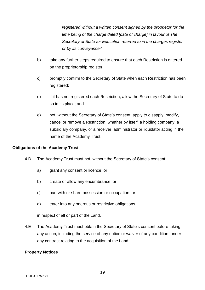*registered without a written consent signed by the proprietor for the time being of the charge dated [date of charge] in favour of The Secretary of State for Education referred to in the charges register or by its conveyancer*";

- b) take any further steps required to ensure that each Restriction is entered on the proprietorship register;
- c) promptly confirm to the Secretary of State when each Restriction has been registered;
- d) if it has not registered each Restriction, allow the Secretary of State to do so in its place; and
- e) not, without the Secretary of State's consent, apply to disapply, modify, cancel or remove a Restriction, whether by itself, a holding company, a subsidiary company, or a receiver, administrator or liquidator acting in the name of the Academy Trust.

#### **Obligations of the Academy Trust**

- 4.D The Academy Trust must not, without the Secretary of State's consent:
	- a) grant any consent or licence; or
	- b) create or allow any encumbrance; or
	- c) part with or share possession or occupation; or
	- d) enter into any onerous or restrictive obligations,

in respect of all or part of the Land.

4.E The Academy Trust must obtain the Secretary of State's consent before taking any action, including the service of any notice or waiver of any condition, under any contract relating to the acquisition of the Land.

#### **Property Notices**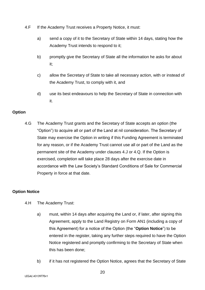- 4.F If the Academy Trust receives a Property Notice, it must:
	- a) send a copy of it to the Secretary of State within 14 days, stating how the Academy Trust intends to respond to it;
	- b) promptly give the Secretary of State all the information he asks for about it;
	- c) allow the Secretary of State to take all necessary action, with or instead of the Academy Trust, to comply with it, and
	- d) use its best endeavours to help the Secretary of State in connection with it.

#### **Option**

4.G The Academy Trust grants and the Secretary of State accepts an option (the "Option") to acquire all or part of the Land at nil consideration. The Secretary of State may exercise the Option in writing if this Funding Agreement is terminated for any reason, or if the Academy Trust cannot use all or part of the Land as the permanent site of the Academy under clauses 4.J or 4.Q. If the Option is exercised, completion will take place 28 days after the exercise date in accordance with the Law Society's Standard Conditions of Sale for Commercial Property in force at that date.

### **Option Notice**

- 4.H The Academy Trust:
	- a) must, within 14 days after acquiring the Land or, if later, after signing this Agreement, apply to the Land Registry on Form AN1 (including a copy of this Agreement) for a notice of the Option (the "**Option Notice**") to be entered in the register, taking any further steps required to have the Option Notice registered and promptly confirming to the Secretary of State when this has been done;
	- b) if it has not registered the Option Notice, agrees that the Secretary of State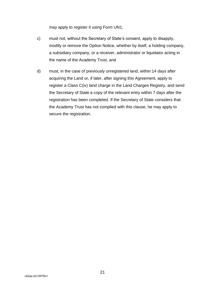may apply to register it using Form UN1;

- c) must not, without the Secretary of State's consent, apply to disapply, modify or remove the Option Notice, whether by itself, a holding company, a subsidiary company, or a receiver, administrator or liquidator acting in the name of the Academy Trust, and
- d) must, in the case of previously unregistered land, within 14 days after acquiring the Land or, if later, after signing this Agreement, apply to register a Class C(iv) land charge in the Land Charges Registry, and send the Secretary of State a copy of the relevant entry within 7 days after the registration has been completed. If the Secretary of State considers that the Academy Trust has not complied with this clause, he may apply to secure the registration.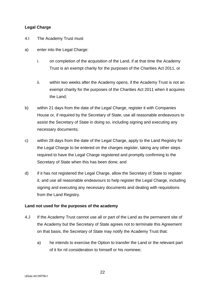#### **Legal Charge**

- 4.I The Academy Trust must
- a) enter into the Legal Charge:
	- i. on completion of the acquisition of the Land, if at that time the Academy Trust is an exempt charity for the purposes of the Charities Act 2011, or
	- ii. within two weeks after the Academy opens, if the Academy Trust is not an exempt charity for the purposes of the Charities Act 2011 when it acquires the Land;
- b) within 21 days from the date of the Legal Charge, register it with Companies House or, if required by the Secretary of State, use all reasonable endeavours to assist the Secretary of State in doing so, including signing and executing any necessary documents;
- c) within 28 days from the date of the Legal Charge, apply to the Land Registry for the Legal Charge to be entered on the charges register, taking any other steps required to have the Legal Charge registered and promptly confirming to the Secretary of State when this has been done; and
- d) if it has not registered the Legal Charge, allow the Secretary of State to register it, and use all reasonable endeavours to help register the Legal Charge, including signing and executing any necessary documents and dealing with requisitions from the Land Registry.

#### **Land not used for the purposes of the academy**

- 4.J If the Academy Trust cannot use all or part of the Land as the permanent site of the Academy but the Secretary of State agrees not to terminate this Agreement on that basis, the Secretary of State may notify the Academy Trust that:
	- a) he intends to exercise the Option to transfer the Land or the relevant part of it for nil consideration to himself or his nominee;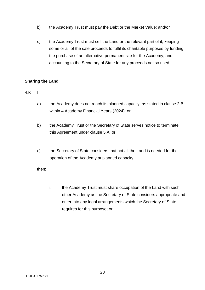- b) the Academy Trust must pay the Debt or the Market Value; and/or
- c) the Academy Trust must sell the Land or the relevant part of it, keeping some or all of the sale proceeds to fulfil its charitable purposes by funding the purchase of an alternative permanent site for the Academy, and accounting to the Secretary of State for any proceeds not so used

#### **Sharing the Land**

- 4.K If:
	- a) the Academy does not reach its planned capacity, as stated in clause 2.B, within 4 Academy Financial Years (2024); or
	- b) the Academy Trust or the Secretary of State serves notice to terminate this Agreement under clause 5.A; or
	- c) the Secretary of State considers that not all the Land is needed for the operation of the Academy at planned capacity,

then:

i. the Academy Trust must share occupation of the Land with such other Academy as the Secretary of State considers appropriate and enter into any legal arrangements which the Secretary of State requires for this purpose; or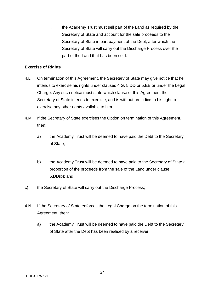ii. the Academy Trust must sell part of the Land as required by the Secretary of State and account for the sale proceeds to the Secretary of State in part payment of the Debt, after which the Secretary of State will carry out the Discharge Process over the part of the Land that has been sold.

#### **Exercise of Rights**

- 4.L On termination of this Agreement, the Secretary of State may give notice that he intends to exercise his rights under clauses 4.G, 5.DD or 5.EE or under the Legal Charge. Any such notice must state which clause of this Agreement the Secretary of State intends to exercise, and is without prejudice to his right to exercise any other rights available to him.
- 4.M If the Secretary of State exercises the Option on termination of this Agreement, then:
	- a) the Academy Trust will be deemed to have paid the Debt to the Secretary of State;
	- b) the Academy Trust will be deemed to have paid to the Secretary of State a proportion of the proceeds from the sale of the Land under clause 5.DD(b); and
- c) the Secretary of State will carry out the Discharge Process;
- 4.N If the Secretary of State enforces the Legal Charge on the termination of this Agreement, then:
	- a) the Academy Trust will be deemed to have paid the Debt to the Secretary of State after the Debt has been realised by a receiver;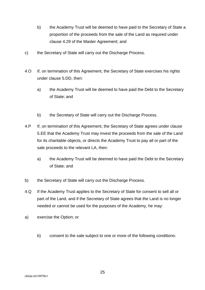- b) the Academy Trust will be deemed to have paid to the Secretary of State a proportion of the proceeds from the sale of the Land as required under clause 4.29 of the Master Agreement; and
- c) the Secretary of State will carry out the Discharge Process.
- 4.O If, on termination of this Agreement, the Secretary of State exercises his rights under clause 5.DD, then:
	- a) the Academy Trust will be deemed to have paid the Debt to the Secretary of State; and
	- b) the Secretary of State will carry out the Discharge Process.
- 4.P If, on termination of this Agreement, the Secretary of State agrees under clause 5.EE that the Academy Trust may invest the proceeds from the sale of the Land for its charitable objects, or directs the Academy Trust to pay all or part of the sale proceeds to the relevant LA, then:
	- a) the Academy Trust will be deemed to have paid the Debt to the Secretary of State; and
- b) the Secretary of State will carry out the Discharge Process.
- 4.Q If the Academy Trust applies to the Secretary of State for consent to sell all or part of the Land, and if the Secretary of State agrees that the Land is no longer needed or cannot be used for the purposes of the Academy, he may:
- a) exercise the Option; or
	- b) consent to the sale subject to one or more of the following conditions: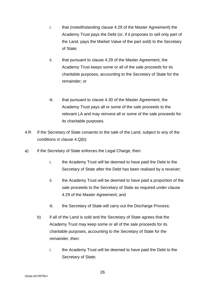- i. that (notwithstanding clause 4.29 of the Master Agreement) the Academy Trust pays the Debt (or, if it proposes to sell only part of the Land, pays the Market Value of the part sold) to the Secretary of State;
- ii. that pursuant to clause 4.29 of the Master Agreement, the Academy Trust keeps some or all of the sale proceeds for its charitable purposes, accounting to the Secretary of State for the remainder; or
- iii. that pursuant to clause 4.30 of the Master Agreement, the Academy Trust pays all or some of the sale proceeds to the relevant LA and may reinvest all or some of the sale proceeds for its charitable purposes.
- 4.R If the Secretary of State consents to the sale of the Land, subject to any of the conditions in clause 4.Q(b):
- a) if the Secretary of State enforces the Legal Charge, then:
	- i. the Academy Trust will be deemed to have paid the Debt to the Secretary of State after the Debt has been realised by a receiver;
	- ii. the Academy Trust will be deemed to have paid a proportion of the sale proceeds to the Secretary of State as required under clause 4.29 of the Master Agreement; and
	- iii. the Secretary of State will carry out the Discharge Process;
	- b) if all of the Land is sold and the Secretary of State agrees that the Academy Trust may keep some or all of the sale proceeds for its charitable purposes, accounting to the Secretary of State for the remainder, then:
		- i. the Academy Trust will be deemed to have paid the Debt to the Secretary of State;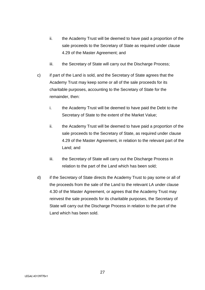- ii. the Academy Trust will be deemed to have paid a proportion of the sale proceeds to the Secretary of State as required under clause 4.29 of the Master Agreement; and
- iii. the Secretary of State will carry out the Discharge Process;
- c) if part of the Land is sold, and the Secretary of State agrees that the Academy Trust may keep some or all of the sale proceeds for its charitable purposes, accounting to the Secretary of State for the remainder, then:
	- i. the Academy Trust will be deemed to have paid the Debt to the Secretary of State to the extent of the Market Value;
	- ii. the Academy Trust will be deemed to have paid a proportion of the sale proceeds to the Secretary of State, as required under clause 4.29 of the Master Agreement, in relation to the relevant part of the Land; and
	- iii. the Secretary of State will carry out the Discharge Process in relation to the part of the Land which has been sold;
- d) if the Secretary of State directs the Academy Trust to pay some or all of the proceeds from the sale of the Land to the relevant LA under clause 4.30 of the Master Agreement, or agrees that the Academy Trust may reinvest the sale proceeds for its charitable purposes, the Secretary of State will carry out the Discharge Process in relation to the part of the Land which has been sold.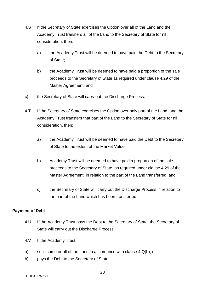- 4.S If the Secretary of State exercises the Option over all of the Land and the Academy Trust transfers all of the Land to the Secretary of State for nil consideration, then:
	- a) the Academy Trust will be deemed to have paid the Debt to the Secretary of State;
	- b) the Academy Trust will be deemed to have paid a proportion of the sale proceeds to the Secretary of State as required under clause 4.29 of the Master Agreement; and
- c) the Secretary of State will carry out the Discharge Process.
- 4.T If the Secretary of State exercises the Option over only part of the Land, and the Academy Trust transfers that part of the Land to the Secretary of State for nil consideration, then:
	- a) the Academy Trust will be deemed to have paid the Debt to the Secretary of State to the extent of the Market Value;
	- b) Academy Trust will be deemed to have paid a proportion of the sale proceeds to the Secretary of State, as required under clause 4.29 of the Master Agreement, in relation to the part of the Land transferred, and
	- c) the Secretary of State will carry out the Discharge Process in relation to the part of the Land which has been transferred.

#### **Payment of Debt**

- 4.U If the Academy Trust pays the Debt to the Secretary of State, the Secretary of State will carry out the Discharge Process.
- 4.V If the Academy Trust:
- a) sells some or all of the Land in accordance with clause 4.Q(b), or
- b) pays the Debt to the Secretary of State,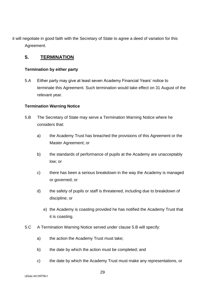it will negotiate in good faith with the Secretary of State to agree a deed of variation for this Agreement.

# <span id="page-28-0"></span>**5.****TERMINATION**

#### <span id="page-28-1"></span>**Termination by either party**

5.A Either party may give at least seven Academy Financial Years' notice to terminate this Agreement. Such termination would take effect on 31 August of the relevant year.

#### <span id="page-28-2"></span>**Termination Warning Notice**

- 5.B The Secretary of State may serve a Termination Warning Notice where he considers that:
	- a) the Academy Trust has breached the provisions of this Agreement or the Master Agreement; or
	- b) the standards of performance of pupils at the Academy are unacceptably low; or
	- c) there has been a serious breakdown in the way the Academy is managed or governed; or
	- d) the safety of pupils or staff is threatened, including due to breakdown of discipline; or
		- e) the Academy is coasting provided he has notified the Academy Trust that it is coasting.
- 5.C A Termination Warning Notice served under clause 5.B will specify:
	- a) the action the Academy Trust must take;
	- b) the date by which the action must be completed; and
	- c) the date by which the Academy Trust must make any representations, or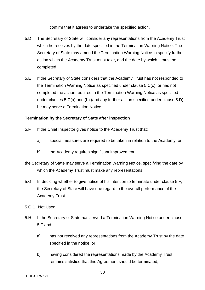confirm that it agrees to undertake the specified action.

- 5.D The Secretary of State will consider any representations from the Academy Trust which he receives by the date specified in the Termination Warning Notice. The Secretary of State may amend the Termination Warning Notice to specify further action which the Academy Trust must take, and the date by which it must be completed.
- 5.E If the Secretary of State considers that the Academy Trust has not responded to the Termination Warning Notice as specified under clause 5.C(c), or has not completed the action required in the Termination Warning Notice as specified under clauses 5.C(a) and (b) (and any further action specified under clause 5.D) he may serve a Termination Notice.

#### <span id="page-29-0"></span>**Termination by the Secretary of State after inspection**

- 5.F If the Chief Inspector gives notice to the Academy Trust that:
	- a) special measures are required to be taken in relation to the Academy; or
	- b) the Academy requires significant improvement
- the Secretary of State may serve a Termination Warning Notice, specifying the date by which the Academy Trust must make any representations.
- 5.G In deciding whether to give notice of his intention to terminate under clause 5.F, the Secretary of State will have due regard to the overall performance of the Academy Trust.
- 5.G.1 Not Used.
- 5.H If the Secretary of State has served a Termination Warning Notice under clause 5.F and:
	- a) has not received any representations from the Academy Trust by the date specified in the notice; or
	- b) having considered the representations made by the Academy Trust remains satisfied that this Agreement should be terminated;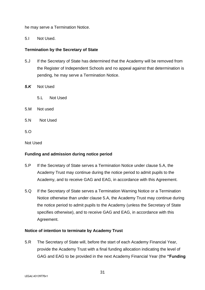he may serve a Termination Notice.

5.I Not Used.

#### <span id="page-30-0"></span>**Termination by the Secretary of State**

- 5.J If the Secretary of State has determined that the Academy will be removed from the Register of Independent Schools and no appeal against that determination is pending, he may serve a Termination Notice.
- *5.K* Not Used
	- 5.L Not Used
- 5.M Not used
- 5.N Not Used
- $5^{\circ}$

Not Used

#### <span id="page-30-1"></span>**Funding and admission during notice period**

- 5.P If the Secretary of State serves a Termination Notice under clause 5.A, the Academy Trust may continue during the notice period to admit pupils to the Academy, and to receive GAG and EAG, in accordance with this Agreement.
- 5.Q If the Secretary of State serves a Termination Warning Notice or a Termination Notice otherwise than under clause 5.A, the Academy Trust may continue during the notice period to admit pupils to the Academy (unless the Secretary of State specifies otherwise), and to receive GAG and EAG, in accordance with this Agreement.

#### <span id="page-30-2"></span>**Notice of intention to terminate by Academy Trust**

5.R The Secretary of State will, before the start of each Academy Financial Year, provide the Academy Trust with a final funding allocation indicating the level of GAG and EAG to be provided in the next Academy Financial Year (the **"Funding**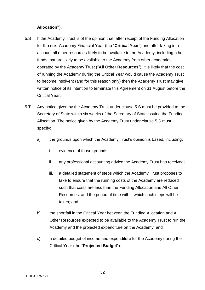#### **Allocation").**

- 5.S If the Academy Trust is of the opinion that, after receipt of the Funding Allocation for the next Academy Financial Year (the "**Critical Year**") and after taking into account all other resources likely to be available to the Academy, including other funds that are likely to be available to the Academy from other academies operated by the Academy Trust ("**All Other Resources**"), it is likely that the cost of running the Academy during the Critical Year would cause the Academy Trust to become insolvent (and for this reason only) then the Academy Trust may give written notice of its intention to terminate this Agreement on 31 August before the Critical Year.
- 5.T Any notice given by the Academy Trust under clause 5.S must be provided to the Secretary of State within six weeks of the Secretary of State issuing the Funding Allocation. The notice given by the Academy Trust under clause 5.S must specify:
	- a) the grounds upon which the Academy Trust's opinion is based, including:
		- i. evidence of those grounds;
		- ii. any professional accounting advice the Academy Trust has received;
		- iii. a detailed statement of steps which the Academy Trust proposes to take to ensure that the running costs of the Academy are reduced such that costs are less than the Funding Allocation and All Other Resources, and the period of time within which such steps will be taken; and
	- b) the shortfall in the Critical Year between the Funding Allocation and All Other Resources expected to be available to the Academy Trust to run the Academy and the projected expenditure on the Academy; and
	- c) a detailed budget of income and expenditure for the Academy during the Critical Year (the "**Projected Budget**").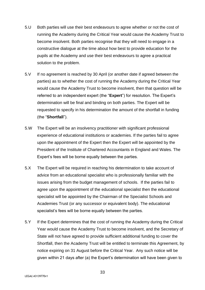- 5.U Both parties will use their best endeavours to agree whether or not the cost of running the Academy during the Critical Year would cause the Academy Trust to become insolvent. Both parties recognise that they will need to engage in a constructive dialogue at the time about how best to provide education for the pupils at the Academy and use their best endeavours to agree a practical solution to the problem.
- 5.V If no agreement is reached by 30 April (or another date if agreed between the parties) as to whether the cost of running the Academy during the Critical Year would cause the Academy Trust to become insolvent, then that question will be referred to an independent expert (the "**Expert**") for resolution. The Expert's determination will be final and binding on both parties. The Expert will be requested to specify in his determination the amount of the shortfall in funding (the "**Shortfall**").
- 5.W The Expert will be an insolvency practitioner with significant professional experience of educational institutions or academies. If the parties fail to agree upon the appointment of the Expert then the Expert will be appointed by the President of the Institute of Chartered Accountants in England and Wales. The Expert's fees will be borne equally between the parties.
- 5.X The Expert will be required in reaching his determination to take account of advice from an educational specialist who is professionally familiar with the issues arising from the budget management of schools. If the parties fail to agree upon the appointment of the educational specialist then the educational specialist will be appointed by the Chairman of the Specialist Schools and Academies Trust (or any successor or equivalent body). The educational specialist's fees will be borne equally between the parties.
- 5.Y If the Expert determines that the cost of running the Academy during the Critical Year would cause the Academy Trust to become insolvent, and the Secretary of State will not have agreed to provide sufficient additional funding to cover the Shortfall, then the Academy Trust will be entitled to terminate this Agreement, by notice expiring on 31 August before the Critical Year. Any such notice will be given within 21 days after (a) the Expert's determination will have been given to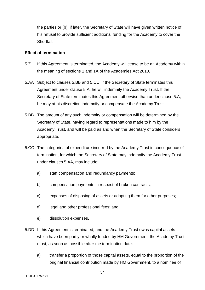the parties or (b), if later, the Secretary of State will have given written notice of his refusal to provide sufficient additional funding for the Academy to cover the **Shortfall** 

#### <span id="page-33-0"></span>**Effect of termination**

- 5.Z If this Agreement is terminated, the Academy will cease to be an Academy within the meaning of sections 1 and 1A of the Academies Act 2010.
- 5.AA Subject to clauses 5.BB and 5.CC, if the Secretary of State terminates this Agreement under clause 5.A, he will indemnify the Academy Trust. If the Secretary of State terminates this Agreement otherwise than under clause 5.A, he may at his discretion indemnify or compensate the Academy Trust.
- 5.BB The amount of any such indemnity or compensation will be determined by the Secretary of State, having regard to representations made to him by the Academy Trust, and will be paid as and when the Secretary of State considers appropriate.
- 5.CC The categories of expenditure incurred by the Academy Trust in consequence of termination, for which the Secretary of State may indemnify the Academy Trust under clauses 5.AA, may include:
	- a) staff compensation and redundancy payments;
	- b) compensation payments in respect of broken contracts;
	- c) expenses of disposing of assets or adapting them for other purposes;
	- d) legal and other professional fees; and
	- e) dissolution expenses.
- 5.DD If this Agreement is terminated, and the Academy Trust owns capital assets which have been partly or wholly funded by HM Government, the Academy Trust must, as soon as possible after the termination date:
	- a) transfer a proportion of those capital assets, equal to the proportion of the original financial contribution made by HM Government, to a nominee of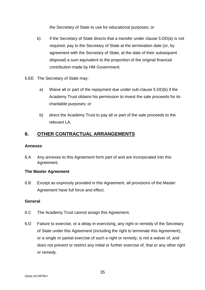the Secretary of State to use for educational purposes; or

- b) if the Secretary of State directs that a transfer under clause 5.DD(a) is not required, pay to the Secretary of State at the termination date (or, by agreement with the Secretary of State, at the date of their subsequent disposal) a sum equivalent to the proportion of the original financial contribution made by HM Government.
- 5.EE The Secretary of State may:
	- a) Waive all or part of the repayment due under sub-clause 5.DD(b) if the Academy Trust obtains his permission to invest the sale proceeds for its charitable purposes; or
	- b) direct the Academy Trust to pay all or part of the sale proceeds to the relevant LA.

# <span id="page-34-0"></span>**6. OTHER CONTRACTUAL ARRANGEMENTS**

#### <span id="page-34-1"></span>**Annexes**

6.A Any annexes to this Agreement form part of and are incorporated into this Agreement.

#### <span id="page-34-2"></span>**The Master Agreement**

6.B Except as expressly provided in this Agreement, all provisions of the Master Agreement have full force and effect.

#### <span id="page-34-3"></span>**General**

- 6.C The Academy Trust cannot assign this Agreement.
- 6.D Failure to exercise, or a delay in exercising, any right or remedy of the Secretary of State under this Agreement (including the right to terminate this Agreement), or a single or partial exercise of such a right or remedy, is not a waiver of, and does not prevent or restrict any initial or further exercise of, that or any other right or remedy.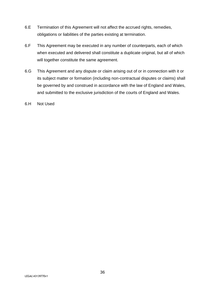- 6.E Termination of this Agreement will not affect the accrued rights, remedies, obligations or liabilities of the parties existing at termination.
- 6.F This Agreement may be executed in any number of counterparts, each of which when executed and delivered shall constitute a duplicate original, but all of which will together constitute the same agreement.
- 6.G This Agreement and any dispute or claim arising out of or in connection with it or its subject matter or formation (including non-contractual disputes or claims) shall be governed by and construed in accordance with the law of England and Wales, and submitted to the exclusive jurisdiction of the courts of England and Wales.

6.H Not Used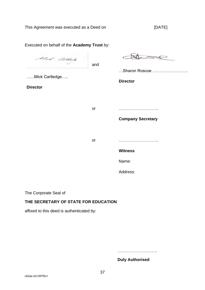Executed on behalf of the **Academy Trust** by: Alust Med Catterle and …Sharon Roscoe …………………….. …...Mick Cartledge….. **Director Director** or ……………………….. **Company Secretary** or ……………………….. **Witness** Name: Address:

The Corporate Seal of

#### **THE SECRETARY OF STATE FOR EDUCATION**

affixed to this deed is authenticated by:

…………………………………

**Duly Authorised**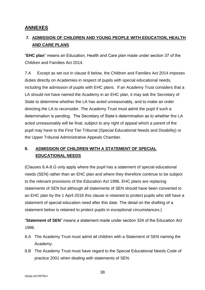# <span id="page-37-0"></span>**ANNEXES**

# <span id="page-37-1"></span>**7. ADMISSION OF CHILDREN AND YOUNG PEOPLE WITH EDUCATION, HEALTH AND CARE PLANS**

"**EHC plan**" means an Education, Health and Care plan made under section 37 of the Children and Families Act 2014.

7.A Except as set out in clause 8 below, the Children and Families Act 2014 imposes duties directly on Academies in respect of pupils with special educational needs, including the admission of pupils with EHC plans. If an Academy Trust considers that a LA should not have named the Academy in an EHC plan, it may ask the Secretary of State to determine whether the LA has acted unreasonably, and to make an order directing the LA to reconsider. The Academy Trust must admit the pupil if such a determination is pending. The Secretary of State's determination as to whether the LA acted unreasonably will be final, subject to any right of appeal which a parent of the pupil may have to the First Tier Tribunal (Special Educational Needs and Disability) or the Upper Tribunal Administrative Appeals Chamber.

# <span id="page-37-2"></span>**8. ADMISSION OF CHILDREN WITH A STATEMENT OF SPECIAL EDUCATIONAL NEEDS**

(Clauses 8.A-8.G only apply where the pupil has a statement of special educational needs (SEN) rather than an EHC plan and where they therefore continue to be subject to the relevant provisions of the Education Act 1996. EHC plans are replacing statements of SEN but although all statements of SEN should have been converted to an EHC plan by the 1 April 2018 this clause is retained to protect pupils who still have a statement of special education need after this date. The detail on the drafting of a statement below is retained to protect pupils in exceptional circumstances.)

"**Statement of SEN**" means a statement made under section 324 of the Education Act 1996.

- 8.A The Academy Trust must admit all children with a Statement of SEN naming the Academy.
- 8.B The Academy Trust must have regard to the Special Educational Needs Code of practice 2001 when dealing with statements of SEN.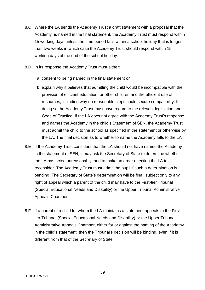- 8.C Where the LA sends the Academy Trust a draft statement with a proposal that the Academy is named in the final statement, the Academy Trust must respond within 15 working days unless the time period falls within a school holiday that is longer than two weeks in which case the Academy Trust should respond within 15 working days of the end of the school holiday.
- 8.D In its response the Academy Trust must either:
	- a. consent to being named in the final statement or
	- b. explain why it believes that admitting the child would be incompatible with the provision of efficient education for other children and the efficient use of resources, including why no reasonable steps could secure compatibility. In doing so the Academy Trust must have regard to the relevant legislation and Code of Practice. If the LA does not agree with the Academy Trust's response, and names the Academy in the child's Statement of SEN, the Academy Trust must admit the child to the school as specified in the statement or otherwise by the LA. The final decision as to whether to name the Academy falls to the LA.
- 8.E If the Academy Trust considers that the LA should not have named the Academy in the statement of SEN, it may ask the Secretary of State to determine whether the LA has acted unreasonably, and to make an order directing the LA to reconsider. The Academy Trust must admit the pupil if such a determination is pending. The Secretary of State's determination will be final, subject only to any right of appeal which a parent of the child may have to the First-tier Tribunal (Special Educational Needs and Disability) or the Upper Tribunal Administrative Appeals Chamber.
- 8.F If a parent of a child for whom the LA maintains a statement appeals to the Firsttier Tribunal (Special Educational Needs and Disability) or the Upper Tribunal Administrative Appeals Chamber, either for or against the naming of the Academy in the child's statement, then the Tribunal's decision will be binding, even if it is different from that of the Secretary of State.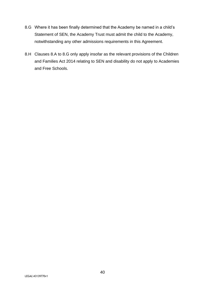- 8.G Where it has been finally determined that the Academy be named in a child's Statement of SEN, the Academy Trust must admit the child to the Academy, notwithstanding any other admissions requirements in this Agreement.
- 8.H Clauses 8.A to 8.G only apply insofar as the relevant provisions of the Children and Families Act 2014 relating to SEN and disability do not apply to Academies and Free Schools.